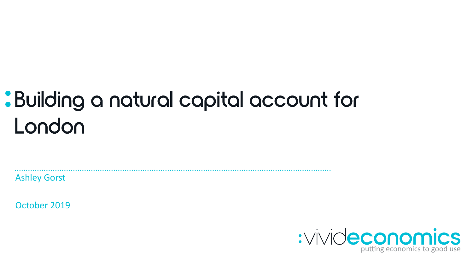# : Building a natural capital account for London

Ashley Gorst

October 2019

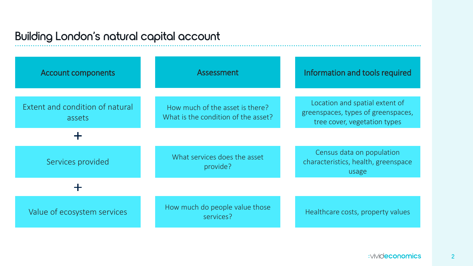### Building London's natural capital account

| <b>Account components</b>                 | Assessment                                                             | Information and tools required                                                                       |
|-------------------------------------------|------------------------------------------------------------------------|------------------------------------------------------------------------------------------------------|
| Extent and condition of natural<br>assets | How much of the asset is there?<br>What is the condition of the asset? | Location and spatial extent of<br>greenspaces, types of greenspaces,<br>tree cover, vegetation types |
|                                           |                                                                        |                                                                                                      |
| Services provided                         | What services does the asset<br>provide?                               | Census data on population<br>characteristics, health, greenspace<br>usage                            |
|                                           |                                                                        |                                                                                                      |
| Value of ecosystem services               | How much do people value those<br>services?                            | Healthcare costs, property values                                                                    |

 $\overline{2}$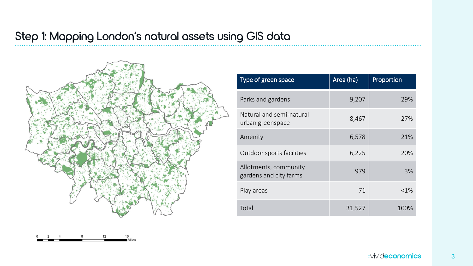# Step 1: Mapping London's natural assets using GIS data



| Type of green space                             | Area (ha) | Proportion |
|-------------------------------------------------|-----------|------------|
| Parks and gardens                               | 9,207     | 29%        |
| Natural and semi-natural<br>urban greenspace    | 8,467     | 27%        |
| Amenity                                         | 6,578     | 21%        |
| Outdoor sports facilities                       | 6,225     | 20%        |
| Allotments, community<br>gardens and city farms | 979       | 3%         |
| Play areas                                      | 71        | <1%        |
| Total                                           | 31,527    | 100%       |

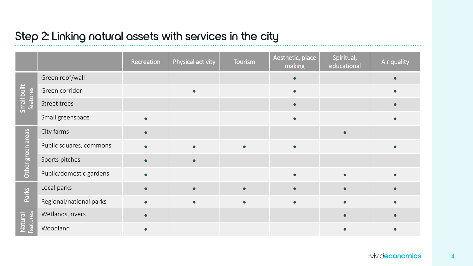## Step 2: Linking natural assets with services in the city

|                         |                         | Recreation | Physical activity | Tourism | Aesthetic, place<br>making | Spiritual,<br>educational | Air quality |
|-------------------------|-------------------------|------------|-------------------|---------|----------------------------|---------------------------|-------------|
| Small built<br>features | Green roof/wall         |            |                   |         |                            |                           |             |
|                         | Green corridor          |            |                   |         | $\bullet$                  |                           |             |
|                         | Street trees            |            |                   |         |                            |                           |             |
|                         | Small greenspace        |            |                   |         |                            |                           |             |
| Other green areas       | City farms              |            |                   |         |                            |                           |             |
|                         | Public squares, commons |            |                   |         | $\bullet$                  |                           |             |
|                         | Sports pitches          |            |                   |         |                            |                           |             |
|                         | Public/domestic gardens |            |                   |         |                            |                           |             |
| Parks                   | Local parks             |            |                   |         |                            |                           |             |
|                         | Regional/national parks |            |                   |         |                            |                           |             |
| Natural<br>features     | Wetlands, rivers        |            |                   |         |                            |                           |             |
|                         | Woodland                |            |                   |         |                            |                           |             |

 $\boldsymbol{\mathcal{A}}$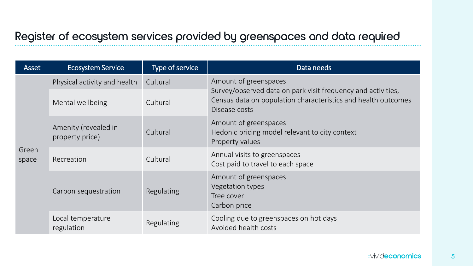# Register of ecosystem services provided by greenspaces and data required

| <b>Asset</b>   | <b>Ecosystem Service</b>                            | Type of service | Data needs                                                                                                                                     |  |  |
|----------------|-----------------------------------------------------|-----------------|------------------------------------------------------------------------------------------------------------------------------------------------|--|--|
| Green<br>space | Physical activity and health                        | Cultural        | Amount of greenspaces                                                                                                                          |  |  |
|                | Mental wellbeing                                    | Cultural        | Survey/observed data on park visit frequency and activities,<br>Census data on population characteristics and health outcomes<br>Disease costs |  |  |
|                | Amenity (revealed in<br>Cultural<br>property price) |                 | Amount of greenspaces<br>Hedonic pricing model relevant to city context<br>Property values                                                     |  |  |
|                | Recreation                                          | Cultural        | Annual visits to greenspaces<br>Cost paid to travel to each space                                                                              |  |  |
|                | Regulating<br>Carbon sequestration                  |                 | Amount of greenspaces<br>Vegetation types<br>Tree cover<br>Carbon price                                                                        |  |  |
|                | Local temperature<br>regulation                     | Regulating      | Cooling due to greenspaces on hot days<br>Avoided health costs                                                                                 |  |  |

 $5\phantom{.0}$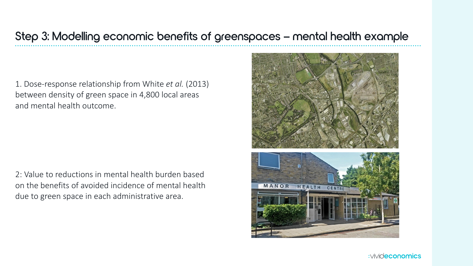#### Step 3: Modelling economic benefits of greenspaces - mental health example

1. Dose-response relationship from White *et al.* (2013) between density of green space in 4,800 local areas and mental health outcome.

2: Value to reductions in mental health burden based on the benefits of avoided incidence of mental health due to green space in each administrative area.



:vivideconomics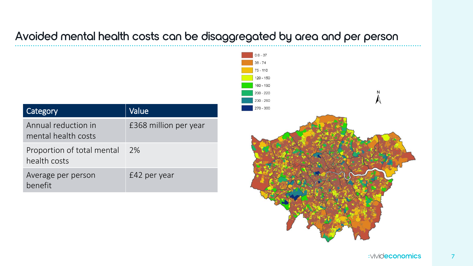#### Avoided mental health costs can be disaggregated by area and per person

| Category                                   | Value                 |
|--------------------------------------------|-----------------------|
| Annual reduction in<br>mental health costs | £368 million per year |
| Proportion of total mental<br>health costs | $2\%$                 |
| Average per person<br>benefit              | £42 per year          |

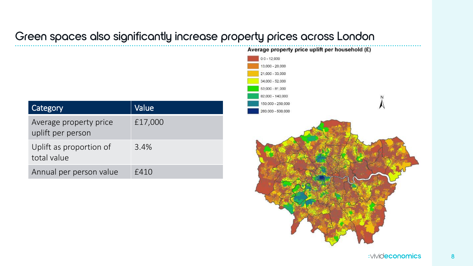### Green spaces also significantly increase property prices across London

| Category                                    | Value   |
|---------------------------------------------|---------|
| Average property price<br>uplift per person | £17,000 |
| Uplift as proportion of<br>total value      | 3.4%    |
| Annual per person value                     | £410    |



8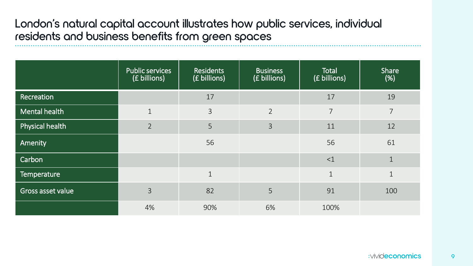London's natural capital account illustrates how public services, individual residents and business benefits from green spaces

|                        | <b>Public services</b><br>(£ billions) | <b>Residents</b><br>(£ billions) | <b>Business</b><br>(£ billions) | Total<br>$\left  \left( \text{\large $\epsilon$} \right. \text{billions} \right) \right $ | Share<br>(%)   |
|------------------------|----------------------------------------|----------------------------------|---------------------------------|-------------------------------------------------------------------------------------------|----------------|
| Recreation             |                                        | 17                               |                                 | 17                                                                                        | 19             |
| <b>Mental health</b>   | $\mathbf 1$                            | $\overline{3}$                   | $\overline{2}$                  | 7                                                                                         | 7              |
| <b>Physical health</b> | $\overline{2}$                         | 5                                | 3                               | 11                                                                                        | 12             |
| Amenity                |                                        | 56                               |                                 | 56                                                                                        | 61             |
| Carbon                 |                                        |                                  |                                 | <1                                                                                        | $\overline{1}$ |
| Temperature            |                                        | $\mathbf 1$                      |                                 |                                                                                           |                |
| Gross asset value      | $\overline{3}$                         | 82                               | 5                               | 91                                                                                        | 100            |
|                        | 4%                                     | 90%                              | 6%                              | 100%                                                                                      |                |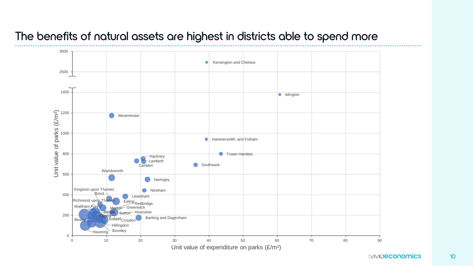#### The benefits of natural assets are highest in districts able to spend more



:VIVIO**economics** 

 $10<sup>°</sup>$